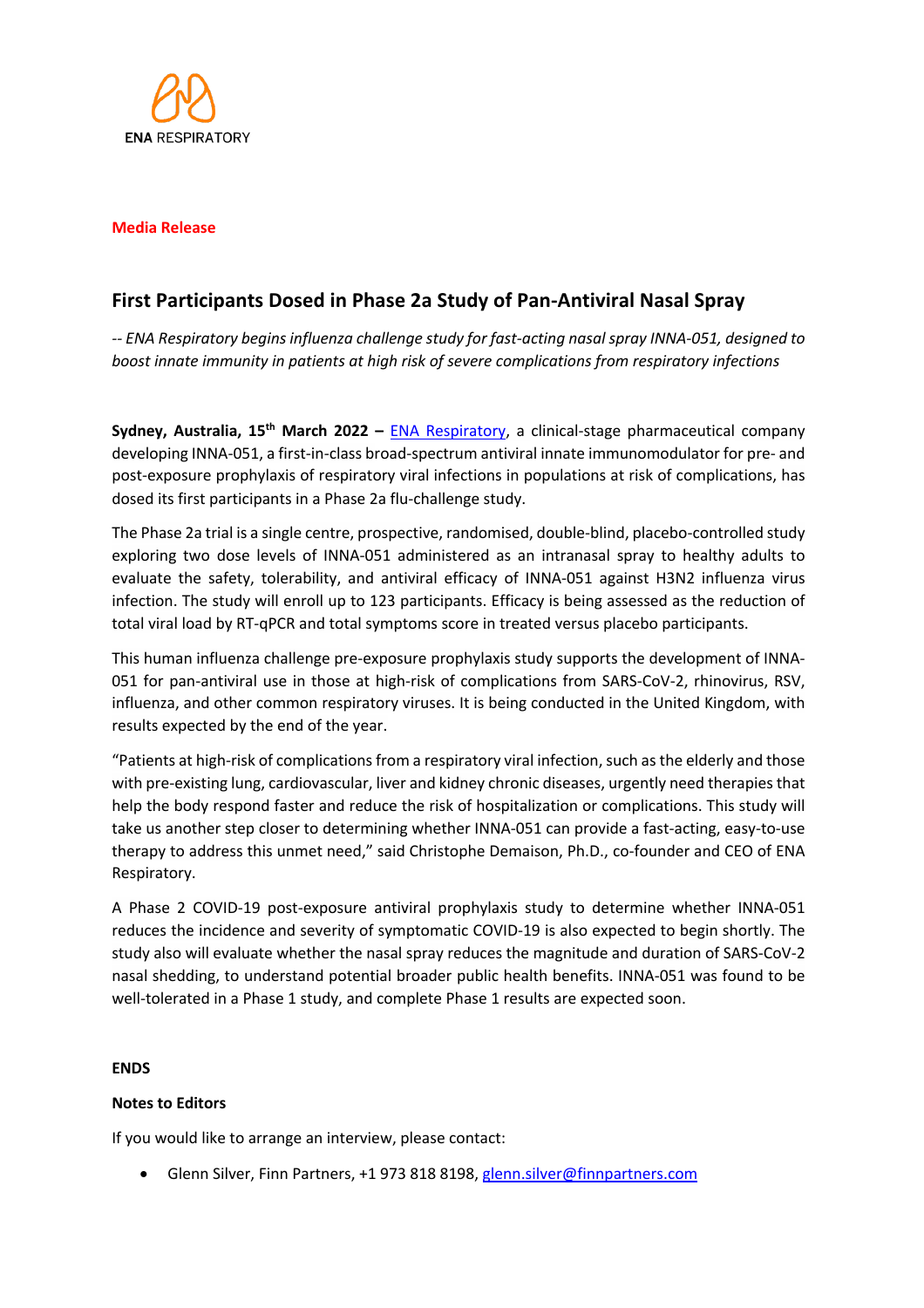

### **Media Release**

# **First Participants Dosed in Phase 2a Study of Pan-Antiviral Nasal Spray**

*-- ENA Respiratory begins influenza challenge study for fast-acting nasal spray INNA-051, designed to boost innate immunity in patients at high risk of severe complications from respiratory infections*

**Sydney, Australia, 15th March 2022 –** ENA Respiratory, a clinical-stage pharmaceutical company developing INNA-051, a first-in-class broad-spectrum antiviral innate immunomodulator for pre- and post-exposure prophylaxis of respiratory viral infections in populations at risk of complications, has dosed its first participants in a Phase 2a flu-challenge study.

The Phase 2a trial is a single centre, prospective, randomised, double-blind, placebo-controlled study exploring two dose levels of INNA-051 administered as an intranasal spray to healthy adults to evaluate the safety, tolerability, and antiviral efficacy of INNA-051 against H3N2 influenza virus infection. The study will enroll up to 123 participants. Efficacy is being assessed as the reduction of total viral load by RT-qPCR and total symptoms score in treated versus placebo participants.

This human influenza challenge pre-exposure prophylaxis study supports the development of INNA-051 for pan-antiviral use in those at high-risk of complications from SARS-CoV-2, rhinovirus, RSV, influenza, and other common respiratory viruses. It is being conducted in the United Kingdom, with results expected by the end of the year.

"Patients at high-risk of complications from a respiratory viral infection, such as the elderly and those with pre-existing lung, cardiovascular, liver and kidney chronic diseases, urgently need therapies that help the body respond faster and reduce the risk of hospitalization or complications. This study will take us another step closer to determining whether INNA-051 can provide a fast-acting, easy-to-use therapy to address this unmet need," said Christophe Demaison, Ph.D., co-founder and CEO of ENA Respiratory.

A Phase 2 COVID-19 post-exposure antiviral prophylaxis study to determine whether INNA-051 reduces the incidence and severity of symptomatic COVID-19 is also expected to begin shortly. The study also will evaluate whether the nasal spray reduces the magnitude and duration of SARS-CoV-2 nasal shedding, to understand potential broader public health benefits. INNA-051 was found to be well-tolerated in a Phase 1 study, and complete Phase 1 results are expected soon.

### **ENDS**

### **Notes to Editors**

If you would like to arrange an interview, please contact:

• Glenn Silver, Finn Partners, +1 973 818 8198, glenn.silver@finnpartners.com